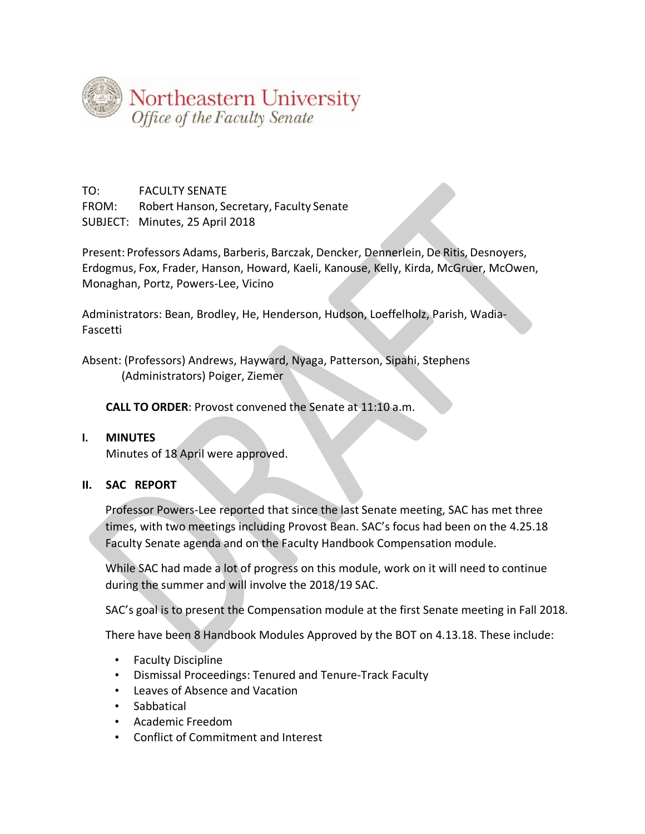

TO: FACULTY SENATE FROM: Robert Hanson, Secretary, Faculty Senate SUBJECT: Minutes, 25 April 2018

Present: Professors Adams, Barberis, Barczak, Dencker, Dennerlein, De Ritis, Desnoyers, Erdogmus, Fox, Frader, Hanson, Howard, Kaeli, Kanouse, Kelly, Kirda, McGruer, McOwen, Monaghan, Portz, Powers-Lee, Vicino

Administrators: Bean, Brodley, He, Henderson, Hudson, Loeffelholz, Parish, Wadia-Fascetti

Absent: (Professors) Andrews, Hayward, Nyaga, Patterson, Sipahi, Stephens (Administrators) Poiger, Ziemer

**CALL TO ORDER**: Provost convened the Senate at 11:10 a.m.

## **I. MINUTES**

Minutes of 18 April were approved.

## **II. SAC REPORT**

Professor Powers-Lee reported that since the last Senate meeting, SAC has met three times, with two meetings including Provost Bean. SAC's focus had been on the 4.25.18 Faculty Senate agenda and on the Faculty Handbook Compensation module.

While SAC had made a lot of progress on this module, work on it will need to continue during the summer and will involve the 2018/19 SAC.

SAC's goal is to present the Compensation module at the first Senate meeting in Fall 2018.

There have been 8 Handbook Modules Approved by the BOT on 4.13.18. These include:

- Faculty Discipline
- Dismissal Proceedings: Tenured and Tenure-Track Faculty
- Leaves of Absence and Vacation
- Sabbatical
- Academic Freedom
- Conflict of Commitment and Interest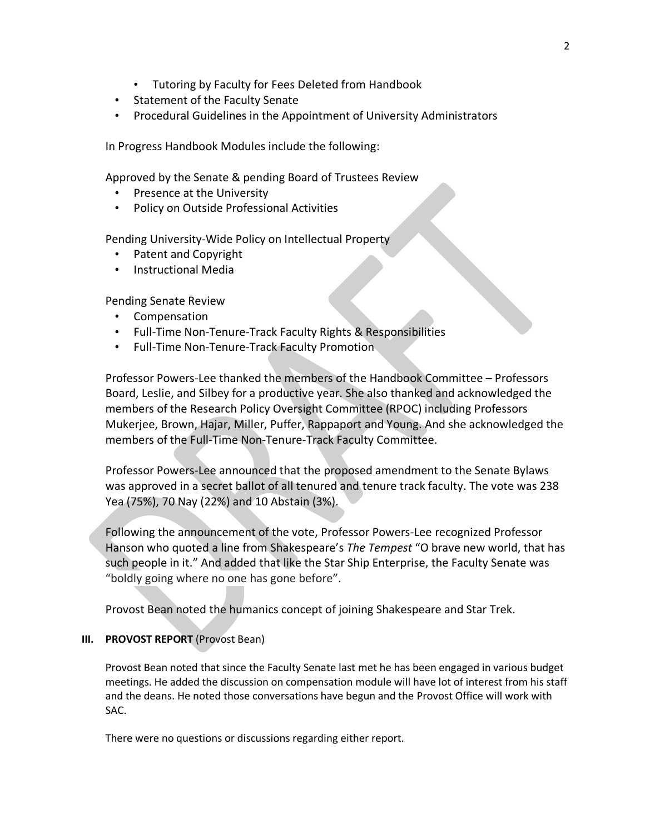- Tutoring by Faculty for Fees Deleted from Handbook
- Statement of the Faculty Senate
- Procedural Guidelines in the Appointment of University Administrators

In Progress Handbook Modules include the following:

Approved by the Senate & pending Board of Trustees Review

- Presence at the University
- Policy on Outside Professional Activities

Pending University-Wide Policy on Intellectual Property

- Patent and Copyright
- Instructional Media

Pending Senate Review

- Compensation
- Full-Time Non-Tenure-Track Faculty Rights & Responsibilities
- Full-Time Non-Tenure-Track Faculty Promotion

Professor Powers-Lee thanked the members of the Handbook Committee – Professors Board, Leslie, and Silbey for a productive year. She also thanked and acknowledged the members of the Research Policy Oversight Committee (RPOC) including Professors Mukerjee, Brown, Hajar, Miller, Puffer, Rappaport and Young. And she acknowledged the members of the Full-Time Non-Tenure-Track Faculty Committee.

Professor Powers-Lee announced that the proposed amendment to the Senate Bylaws was approved in a secret ballot of all tenured and tenure track faculty. The vote was 238 Yea (75%), 70 Nay (22%) and 10 Abstain (3%).

Following the announcement of the vote, Professor Powers-Lee recognized Professor Hanson who quoted a line from Shakespeare's *The Tempest* "O brave new world, that has such people in it." And added that like the Star Ship Enterprise, the Faculty Senate was "boldly going where no one has gone before".

Provost Bean noted the humanics concept of joining Shakespeare and Star Trek.

## **III. PROVOST REPORT** (Provost Bean)

Provost Bean noted that since the Faculty Senate last met he has been engaged in various budget meetings. He added the discussion on compensation module will have lot of interest from his staff and the deans. He noted those conversations have begun and the Provost Office will work with SAC.

There were no questions or discussions regarding either report.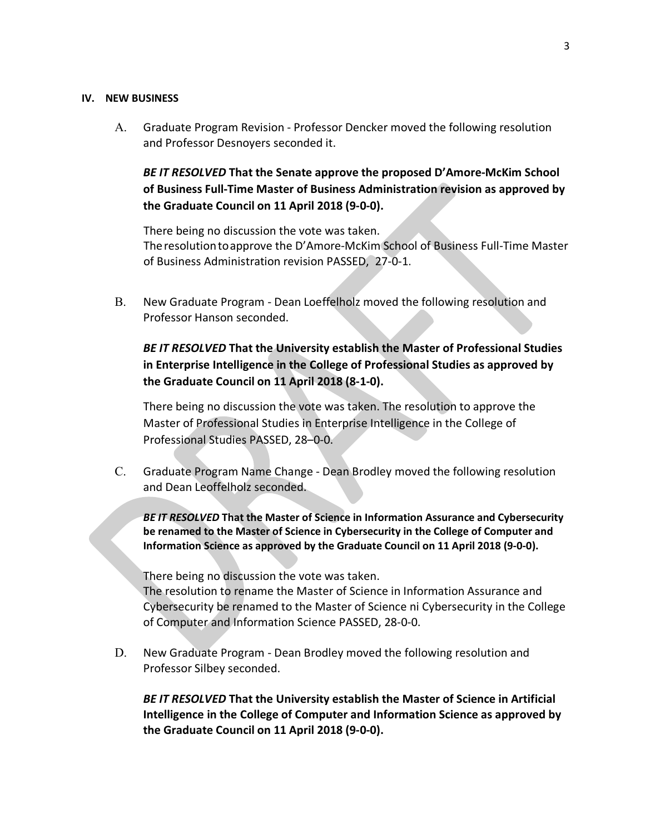## **IV. NEW BUSINESS**

A. Graduate Program Revision - Professor Dencker moved the following resolution and Professor Desnoyers seconded it.

*BE IT RESOLVED* **That the Senate approve the proposed D'Amore-McKim School of Business Full-Time Master of Business Administration revision as approved by the Graduate Council on 11 April 2018 (9-0-0).**

There being no discussion the vote was taken. Theresolutiontoapprove the D'Amore-McKim School of Business Full-Time Master of Business Administration revision PASSED, 27-0-1.

B. New Graduate Program - Dean Loeffelholz moved the following resolution and Professor Hanson seconded.

*BE IT RESOLVED* **That the University establish the Master of Professional Studies in Enterprise Intelligence in the College of Professional Studies as approved by the Graduate Council on 11 April 2018 (8-1-0).** 

There being no discussion the vote was taken. The resolution to approve the Master of Professional Studies in Enterprise Intelligence in the College of Professional Studies PASSED, 28–0-0.

C. Graduate Program Name Change - Dean Brodley moved the following resolution and Dean Leoffelholz seconded.

*BE IT RESOLVED* **That the Master of Science in Information Assurance and Cybersecurity be renamed to the Master of Science in Cybersecurity in the College of Computer and Information Science as approved by the Graduate Council on 11 April 2018 (9-0-0).**

There being no discussion the vote was taken.

The resolution to rename the Master of Science in Information Assurance and Cybersecurity be renamed to the Master of Science ni Cybersecurity in the College of Computer and Information Science PASSED, 28-0-0.

D. New Graduate Program - Dean Brodley moved the following resolution and Professor Silbey seconded.

*BE IT RESOLVED* **That the University establish the Master of Science in Artificial Intelligence in the College of Computer and Information Science as approved by the Graduate Council on 11 April 2018 (9-0-0).**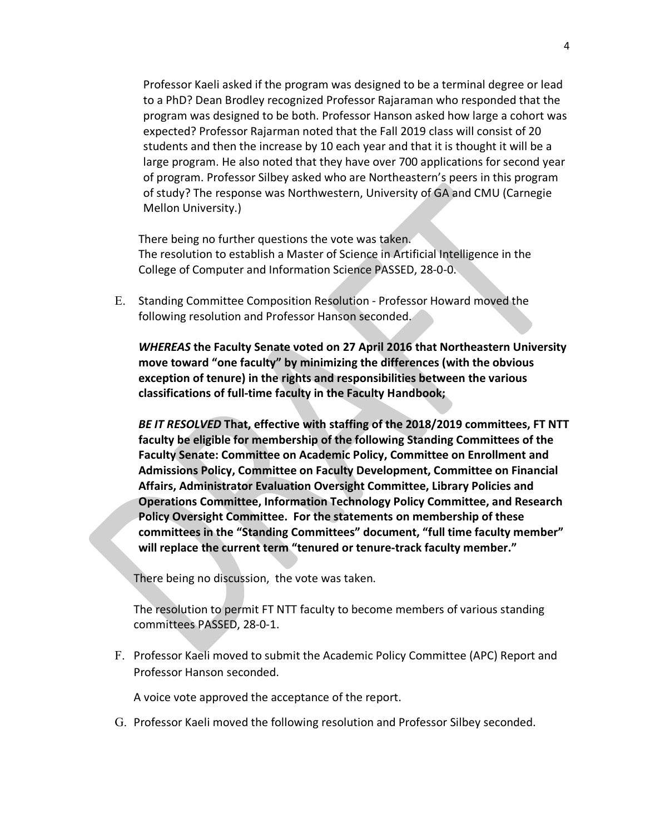Professor Kaeli asked if the program was designed to be a terminal degree or lead to a PhD? Dean Brodley recognized Professor Rajaraman who responded that the program was designed to be both. Professor Hanson asked how large a cohort was expected? Professor Rajarman noted that the Fall 2019 class will consist of 20 students and then the increase by 10 each year and that it is thought it will be a large program. He also noted that they have over 700 applications for second year of program. Professor Silbey asked who are Northeastern's peers in this program of study? The response was Northwestern, University of GA and CMU (Carnegie Mellon University.)

There being no further questions the vote was taken. The resolution to establish a Master of Science in Artificial Intelligence in the College of Computer and Information Science PASSED, 28-0-0.

E. Standing Committee Composition Resolution - Professor Howard moved the following resolution and Professor Hanson seconded.

*WHEREAS* **the Faculty Senate voted on 27 April 2016 that Northeastern University move toward "one faculty" by minimizing the differences (with the obvious exception of tenure) in the rights and responsibilities between the various classifications of full-time faculty in the Faculty Handbook;**

*BE IT RESOLVED* **That, effective with staffing of the 2018/2019 committees, FT NTT faculty be eligible for membership of the following Standing Committees of the Faculty Senate: Committee on Academic Policy, Committee on Enrollment and Admissions Policy, Committee on Faculty Development, Committee on Financial Affairs, Administrator Evaluation Oversight Committee, Library Policies and Operations Committee, Information Technology Policy Committee, and Research Policy Oversight Committee. For the statements on membership of these committees in the "Standing Committees" document, "full time faculty member" will replace the current term "tenured or tenure-track faculty member."**

There being no discussion, the vote was taken.

The resolution to permit FT NTT faculty to become members of various standing committees PASSED, 28-0-1.

F. Professor Kaeli moved to submit the Academic Policy Committee (APC) Report and Professor Hanson seconded.

A voice vote approved the acceptance of the report.

G. Professor Kaeli moved the following resolution and Professor Silbey seconded.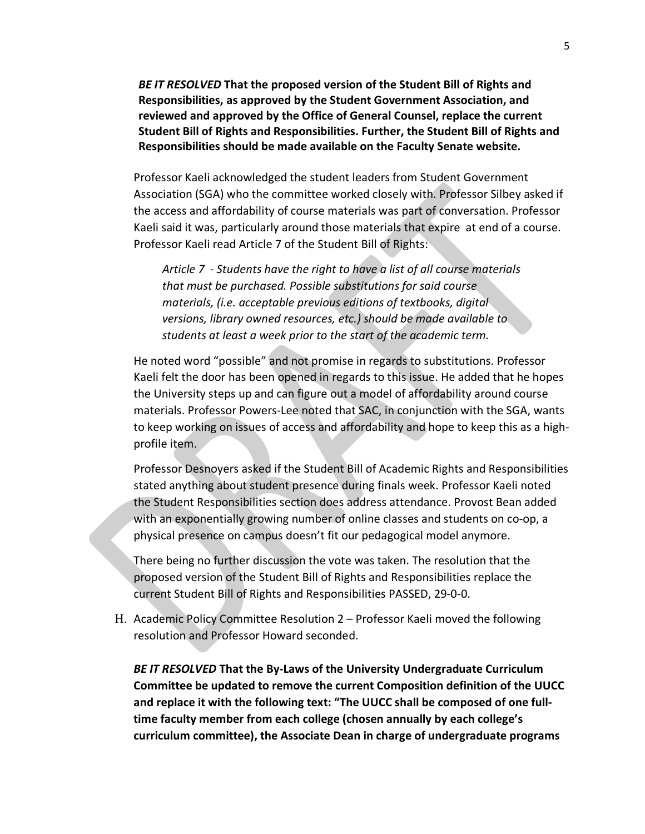*BE IT RESOLVED* **That the proposed version of the Student Bill of Rights and Responsibilities, as approved by the Student Government Association, and reviewed and approved by the Office of General Counsel, replace the current Student Bill of Rights and Responsibilities. Further, the Student Bill of Rights and Responsibilities should be made available on the Faculty Senate website.**

Professor Kaeli acknowledged the student leaders from Student Government Association (SGA) who the committee worked closely with. Professor Silbey asked if the access and affordability of course materials was part of conversation. Professor Kaeli said it was, particularly around those materials that expire at end of a course. Professor Kaeli read Article 7 of the Student Bill of Rights:

*Article 7 - Students have the right to have a list of all course materials that must be purchased. Possible substitutions for said course materials, (i.e. acceptable previous editions of textbooks, digital versions, library owned resources, etc.) should be made available to students at least a week prior to the start of the academic term.* 

He noted word "possible" and not promise in regards to substitutions. Professor Kaeli felt the door has been opened in regards to this issue. He added that he hopes the University steps up and can figure out a model of affordability around course materials. Professor Powers-Lee noted that SAC, in conjunction with the SGA, wants to keep working on issues of access and affordability and hope to keep this as a highprofile item.

Professor Desnoyers asked if the Student Bill of Academic Rights and Responsibilities stated anything about student presence during finals week. Professor Kaeli noted the Student Responsibilities section does address attendance. Provost Bean added with an exponentially growing number of online classes and students on co-op, a physical presence on campus doesn't fit our pedagogical model anymore.

There being no further discussion the vote was taken. The resolution that the proposed version of the Student Bill of Rights and Responsibilities replace the current Student Bill of Rights and Responsibilities PASSED, 29-0-0.

H. Academic Policy Committee Resolution 2 – Professor Kaeli moved the following resolution and Professor Howard seconded.

*BE IT RESOLVED* **That the By-Laws of the University Undergraduate Curriculum Committee be updated to remove the current Composition definition of the UUCC and replace it with the following text: "The UUCC shall be composed of one fulltime faculty member from each college (chosen annually by each college's curriculum committee), the Associate Dean in charge of undergraduate programs**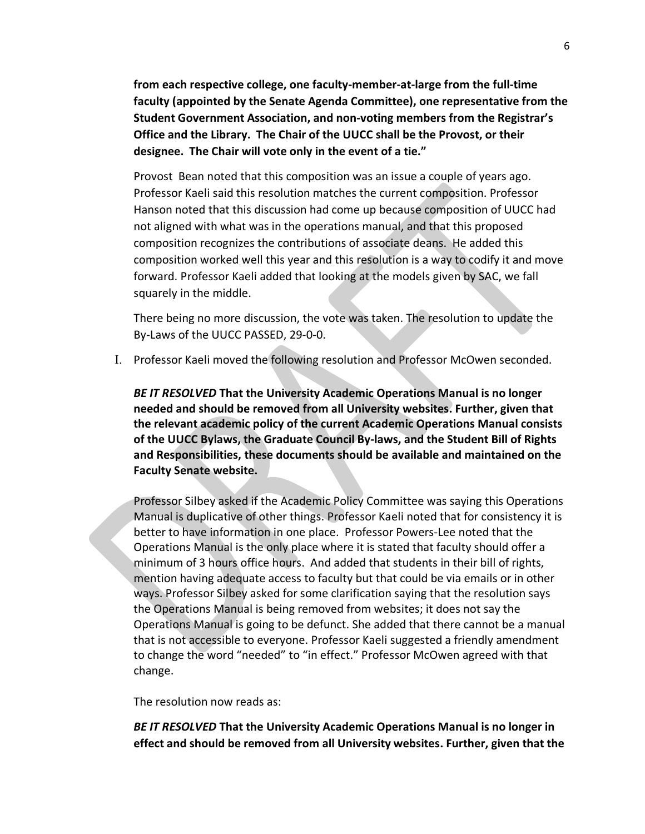**from each respective college, one faculty-member-at-large from the full-time faculty (appointed by the Senate Agenda Committee), one representative from the Student Government Association, and non-voting members from the Registrar's Office and the Library. The Chair of the UUCC shall be the Provost, or their designee. The Chair will vote only in the event of a tie."** 

Provost Bean noted that this composition was an issue a couple of years ago. Professor Kaeli said this resolution matches the current composition. Professor Hanson noted that this discussion had come up because composition of UUCC had not aligned with what was in the operations manual, and that this proposed composition recognizes the contributions of associate deans. He added this composition worked well this year and this resolution is a way to codify it and move forward. Professor Kaeli added that looking at the models given by SAC, we fall squarely in the middle.

There being no more discussion, the vote was taken. The resolution to update the By-Laws of the UUCC PASSED, 29-0-0.

I. Professor Kaeli moved the following resolution and Professor McOwen seconded.

*BE IT RESOLVED* **That the University Academic Operations Manual is no longer needed and should be removed from all University websites. Further, given that the relevant academic policy of the current Academic Operations Manual consists of the UUCC Bylaws, the Graduate Council By-laws, and the Student Bill of Rights and Responsibilities, these documents should be available and maintained on the Faculty Senate website.**

Professor Silbey asked if the Academic Policy Committee was saying this Operations Manual is duplicative of other things. Professor Kaeli noted that for consistency it is better to have information in one place. Professor Powers-Lee noted that the Operations Manual is the only place where it is stated that faculty should offer a minimum of 3 hours office hours. And added that students in their bill of rights, mention having adequate access to faculty but that could be via emails or in other ways. Professor Silbey asked for some clarification saying that the resolution says the Operations Manual is being removed from websites; it does not say the Operations Manual is going to be defunct. She added that there cannot be a manual that is not accessible to everyone. Professor Kaeli suggested a friendly amendment to change the word "needed" to "in effect." Professor McOwen agreed with that change.

The resolution now reads as:

*BE IT RESOLVED* **That the University Academic Operations Manual is no longer in effect and should be removed from all University websites. Further, given that the**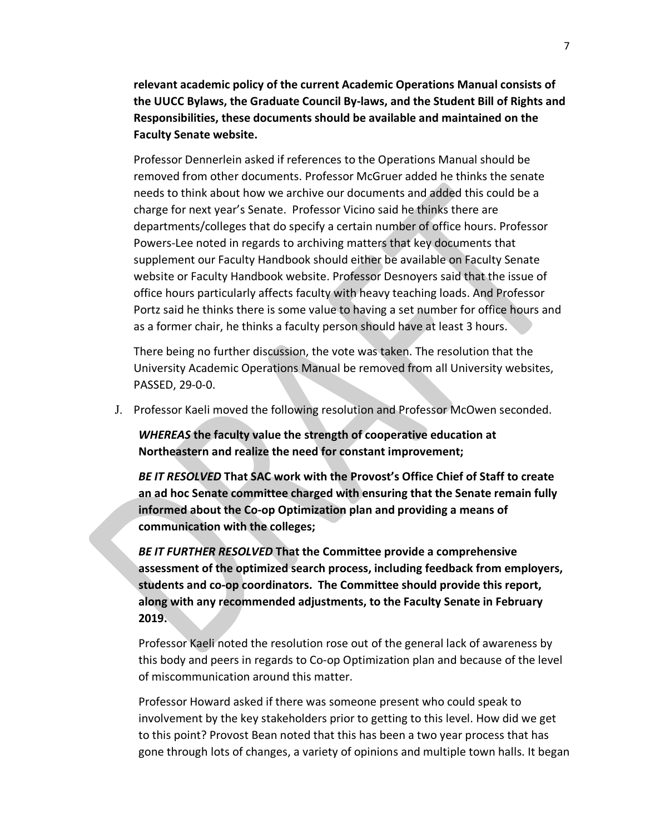**relevant academic policy of the current Academic Operations Manual consists of the UUCC Bylaws, the Graduate Council By-laws, and the Student Bill of Rights and Responsibilities, these documents should be available and maintained on the Faculty Senate website.**

Professor Dennerlein asked if references to the Operations Manual should be removed from other documents. Professor McGruer added he thinks the senate needs to think about how we archive our documents and added this could be a charge for next year's Senate. Professor Vicino said he thinks there are departments/colleges that do specify a certain number of office hours. Professor Powers-Lee noted in regards to archiving matters that key documents that supplement our Faculty Handbook should either be available on Faculty Senate website or Faculty Handbook website. Professor Desnoyers said that the issue of office hours particularly affects faculty with heavy teaching loads. And Professor Portz said he thinks there is some value to having a set number for office hours and as a former chair, he thinks a faculty person should have at least 3 hours.

There being no further discussion, the vote was taken. The resolution that the University Academic Operations Manual be removed from all University websites, PASSED, 29-0-0.

J. Professor Kaeli moved the following resolution and Professor McOwen seconded.

*WHEREAS* **the faculty value the strength of cooperative education at Northeastern and realize the need for constant improvement;**

*BE IT RESOLVED* **That SAC work with the Provost's Office Chief of Staff to create an ad hoc Senate committee charged with ensuring that the Senate remain fully informed about the Co-op Optimization plan and providing a means of communication with the colleges;**

*BE IT FURTHER RESOLVED* **That the Committee provide a comprehensive assessment of the optimized search process, including feedback from employers, students and co-op coordinators. The Committee should provide this report, along with any recommended adjustments, to the Faculty Senate in February 2019.**

Professor Kaeli noted the resolution rose out of the general lack of awareness by this body and peers in regards to Co-op Optimization plan and because of the level of miscommunication around this matter.

Professor Howard asked if there was someone present who could speak to involvement by the key stakeholders prior to getting to this level. How did we get to this point? Provost Bean noted that this has been a two year process that has gone through lots of changes, a variety of opinions and multiple town halls. It began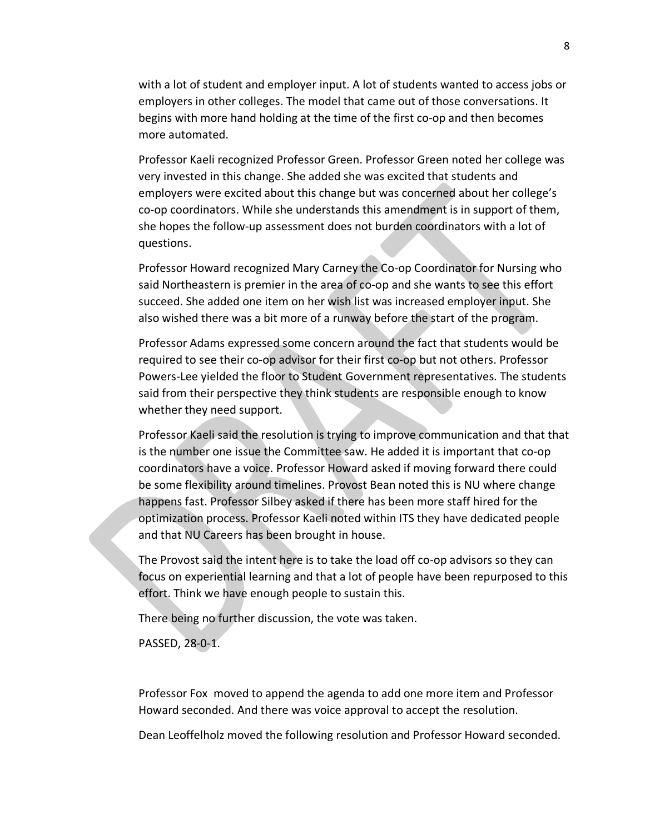with a lot of student and employer input. A lot of students wanted to access jobs or employers in other colleges. The model that came out of those conversations. It begins with more hand holding at the time of the first co-op and then becomes more automated.

Professor Kaeli recognized Professor Green. Professor Green noted her college was very invested in this change. She added she was excited that students and employers were excited about this change but was concerned about her college's co-op coordinators. While she understands this amendment is in support of them, she hopes the follow-up assessment does not burden coordinators with a lot of questions.

Professor Howard recognized Mary Carney the Co-op Coordinator for Nursing who said Northeastern is premier in the area of co-op and she wants to see this effort succeed. She added one item on her wish list was increased employer input. She also wished there was a bit more of a runway before the start of the program.

Professor Adams expressed some concern around the fact that students would be required to see their co-op advisor for their first co-op but not others. Professor Powers-Lee yielded the floor to Student Government representatives. The students said from their perspective they think students are responsible enough to know whether they need support.

Professor Kaeli said the resolution is trying to improve communication and that that is the number one issue the Committee saw. He added it is important that co-op coordinators have a voice. Professor Howard asked if moving forward there could be some flexibility around timelines. Provost Bean noted this is NU where change happens fast. Professor Silbey asked if there has been more staff hired for the optimization process. Professor Kaeli noted within ITS they have dedicated people and that NU Careers has been brought in house.

The Provost said the intent here is to take the load off co-op advisors so they can focus on experiential learning and that a lot of people have been repurposed to this effort. Think we have enough people to sustain this.

There being no further discussion, the vote was taken.

PASSED, 28-0-1.

Professor Fox moved to append the agenda to add one more item and Professor Howard seconded. And there was voice approval to accept the resolution.

Dean Leoffelholz moved the following resolution and Professor Howard seconded.